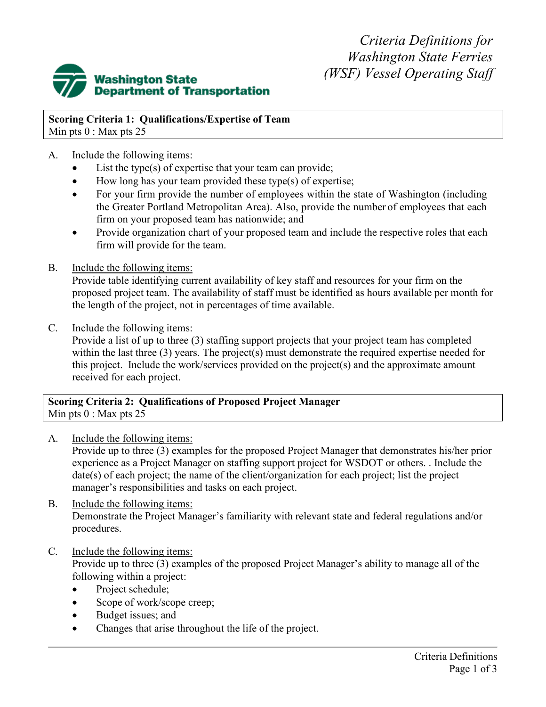*Criteria Definitions for Washington State Ferries (WSF) Vessel Operating Staff*



**Scoring Criteria 1: Qualifications/Expertise of Team** Min pts  $0:$  Max pts 25

# A. Include the following items:

- List the type(s) of expertise that your team can provide;
- How long has your team provided these type(s) of expertise;
- For your firm provide the number of employees within the state of Washington (including the Greater Portland Metropolitan Area). Also, provide the number of employees that each firm on your proposed team has nationwide; and
- Provide organization chart of your proposed team and include the respective roles that each firm will provide for the team.
- B. Include the following items:

Provide table identifying current availability of key staff and resources for your firm on the proposed project team. The availability of staff must be identified as hours available per month for the length of the project, not in percentages of time available.

C. Include the following items:

Provide a list of up to three (3) staffing support projects that your project team has completed within the last three (3) years. The project(s) must demonstrate the required expertise needed for this project. Include the work/services provided on the project(s) and the approximate amount received for each project.

### **Scoring Criteria 2: Qualifications of Proposed Project Manager** Min pts  $0:$  Max pts 25

# A. Include the following items:

Provide up to three (3) examples for the proposed Project Manager that demonstrates his/her prior experience as a Project Manager on staffing support project for WSDOT or others. . Include the date(s) of each project; the name of the client/organization for each project; list the project manager's responsibilities and tasks on each project.

- B. Include the following items: Demonstrate the Project Manager's familiarity with relevant state and federal regulations and/or procedures.
- C. Include the following items:

Provide up to three (3) examples of the proposed Project Manager's ability to manage all of the following within a project:

- Project schedule;
- Scope of work/scope creep;
- Budget issues; and
- Changes that arise throughout the life of the project.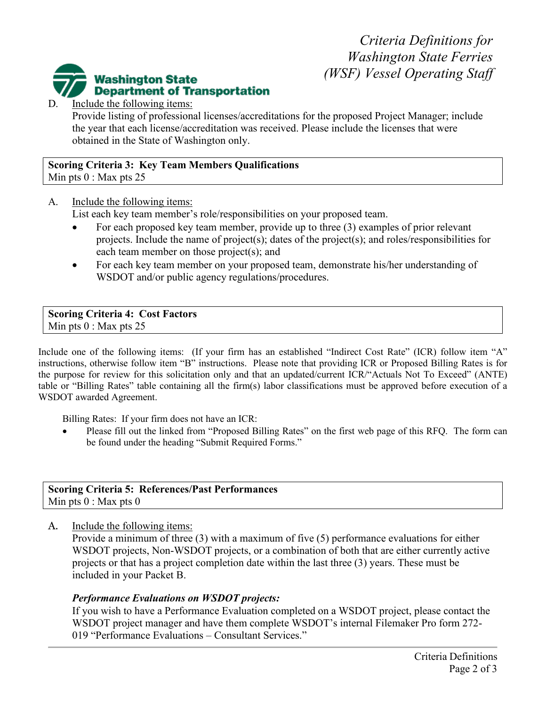*Criteria Definitions for Washington State Ferries (WSF) Vessel Operating Staff*



D. Include the following items:

Provide listing of professional licenses/accreditations for the proposed Project Manager; include the year that each license/accreditation was received. Please include the licenses that were obtained in the State of Washington only.

#### **Scoring Criteria 3: Key Team Members Qualifications** Min pts  $0:$  Max pts 25

A. Include the following items:

List each key team member's role/responsibilities on your proposed team.

- For each proposed key team member, provide up to three  $(3)$  examples of prior relevant projects. Include the name of project(s); dates of the project(s); and roles/responsibilities for each team member on those project(s); and
- For each key team member on your proposed team, demonstrate his/her understanding of WSDOT and/or public agency regulations/procedures.

#### **Scoring Criteria 4: Cost Factors** Min pts  $0:$  Max pts 25

Include one of the following items: (If your firm has an established "Indirect Cost Rate" (ICR) follow item "A" instructions, otherwise follow item "B" instructions. Please note that providing ICR or Proposed Billing Rates is for the purpose for review for this solicitation only and that an updated/current ICR/"Actuals Not To Exceed" (ANTE) table or "Billing Rates" table containing all the firm(s) labor classifications must be approved before execution of a WSDOT awarded Agreement.

Billing Rates: If your firm does not have an ICR:

Please fill out the linked from "Proposed Billing Rates" on the first web page of this RFQ. The form can be found under the heading "Submit Required Forms."

#### **Scoring Criteria 5: References/Past Performances** Min pts  $0:$  Max pts  $0$

A. Include the following items:

Provide a minimum of three (3) with a maximum of five (5) performance evaluations for either WSDOT projects, Non-WSDOT projects, or a combination of both that are either currently active projects or that has a project completion date within the last three (3) years. These must be included in your Packet B.

#### *Performance Evaluations on WSDOT projects:*

If you wish to have a Performance Evaluation completed on a WSDOT project, please contact the WSDOT project manager and have them complete WSDOT's internal Filemaker Pro form 272- 019 "Performance Evaluations – Consultant Services."